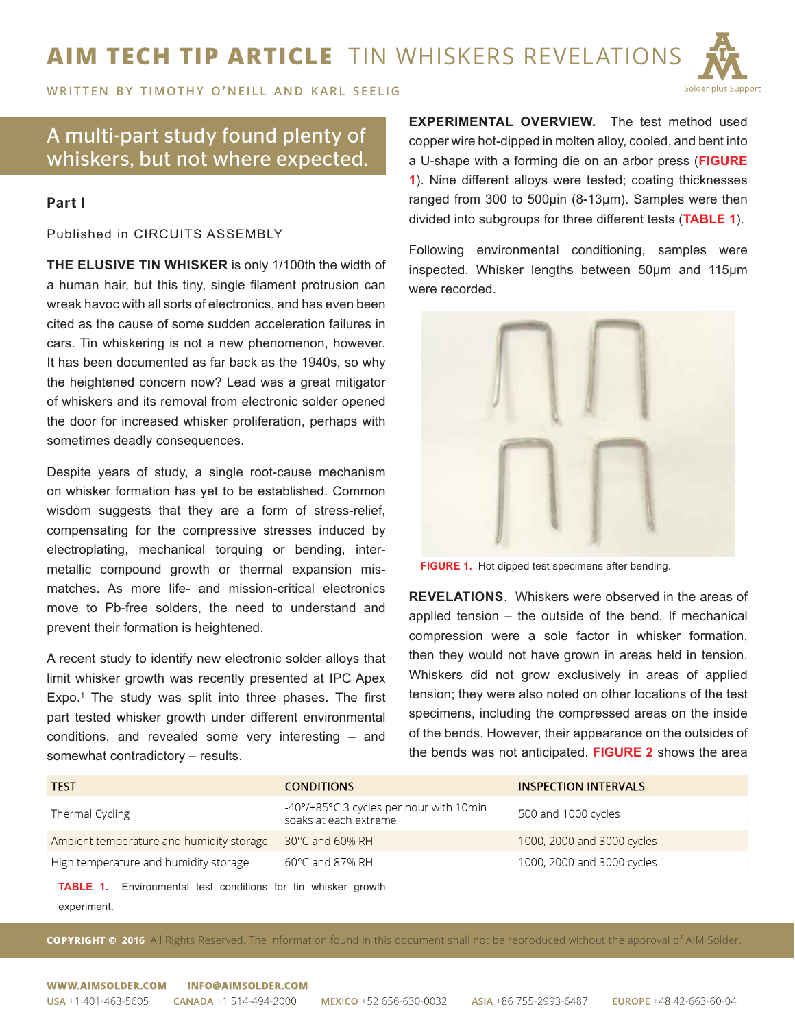## **AIM TECH TIP ARTICLE** TIN WHISKERS REVELATIONS



**WRITTEN BY TIMOTHY O'NEILL AND KARL SEELIG** 

## A multi-part study found plenty of whiskers, but not where expected.

## Part I

Published in CIRCUITS ASSEMBLY

**THE ELUSIVE TIN WHISKER** is only 1/100th the width of a human hair, but this tiny, single filament protrusion can wreak havoc with all sorts of electronics, and has even been cited as the cause of some sudden acceleration failures in cars. Tin whiskering is not a new phenomenon, however. It has been documented as far back as the 1940s, so why the heightened concern now? Lead was a great mitigator of whiskers and its removal from electronic solder opened the door for increased whisker proliferation, perhaps with sometimes deadly consequences.

Despite years of study, a single root-cause mechanism on whisker formation has yet to be established. Common wisdom suggests that they are a form of stress-relief, compensating for the compressive stresses induced by electroplating, mechanical torquing or bending, intermetallic compound growth or thermal expansion mismatches. As more life- and mission-critical electronics move to Pb-free solders, the need to understand and prevent their formation is heightened.

A recent study to identify new electronic solder alloys that limit whisker growth was recently presented at IPC Apex Expo.<sup>1</sup> The study was split into three phases. The first part tested whisker growth under different environmental conditions, and revealed some very interesting – and somewhat contradictory – results.

**EXPERIMENTAL OVERVIEW.** The test method used copper wire hot-dipped in molten alloy, cooled, and bent into a U-shape with a forming die on an arbor press (**FIGURE 1**). Nine different alloys were tested; coating thicknesses ranged from 300 to 500μin (8-13μm). Samples were then divided into subgroups for three different tests (**TABLE 1**).

Following environmental conditioning, samples were inspected. Whisker lengths between 50μm and 115μm were recorded.



**FIGURE 1.** Hot dipped test specimens after bending.

**REVELATIONS**. Whiskers were observed in the areas of applied tension – the outside of the bend. If mechanical compression were a sole factor in whisker formation, then they would not have grown in areas held in tension. Whiskers did not grow exclusively in areas of applied tension; they were also noted on other locations of the test specimens, including the compressed areas on the inside of the bends. However, their appearance on the outsides of the bends was not anticipated. **FIGURE 2** shows the area

| <b>TEST</b>                              | <b>CONDITIONS</b>                                                | <b>INSPECTION INTERVALS</b> |
|------------------------------------------|------------------------------------------------------------------|-----------------------------|
| Thermal Cycling                          | -40°/+85°C 3 cycles per hour with 10min<br>soaks at each extreme | 500 and 1000 cycles         |
| Ambient temperature and humidity storage | $30^{\circ}$ C and 60% RH                                        | 1000, 2000 and 3000 cycles  |
| High temperature and humidity storage    | $60^{\circ}$ C and 87% RH                                        | 1000, 2000 and 3000 cycles  |

**TABLE 1.** Environmental test conditions for tin whisker growth experiment.

**COPYRIGHT © 2016** All Rights Reserved. The information found in this document shall not be reproduced without the approval of AIM Solder.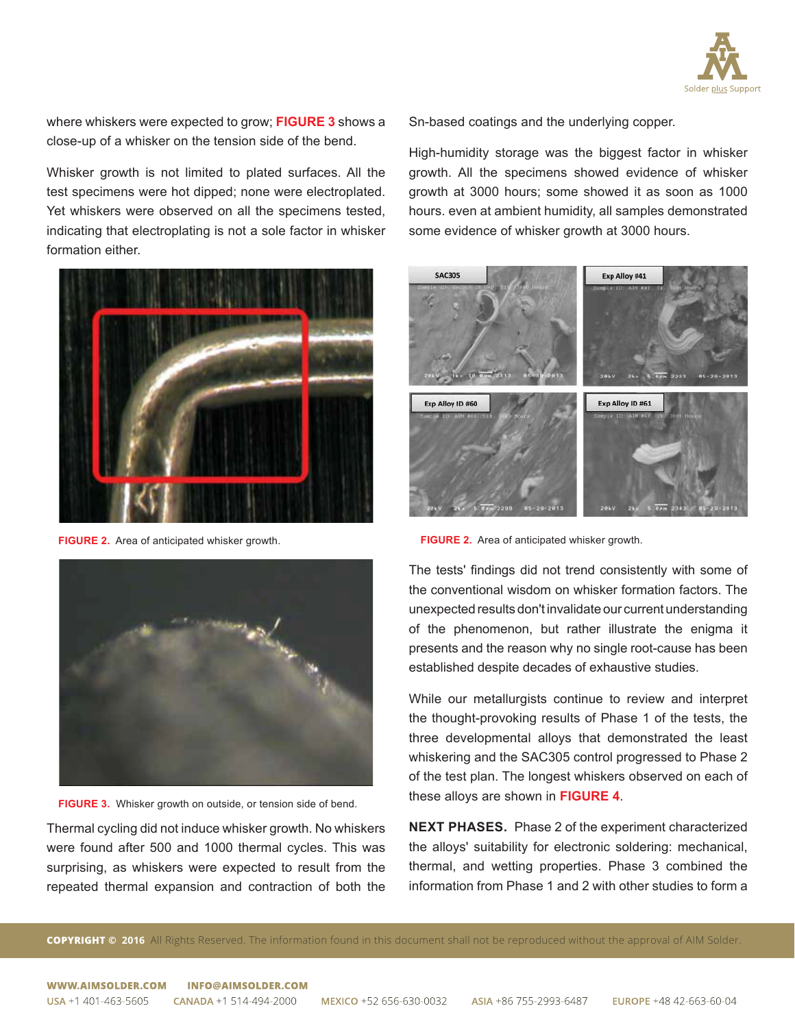

where whiskers were expected to grow; **FIGURE 3** shows a close-up of a whisker on the tension side of the bend.

Whisker growth is not limited to plated surfaces. All the test specimens were hot dipped; none were electroplated. Yet whiskers were observed on all the specimens tested, indicating that electroplating is not a sole factor in whisker formation either.



**FIGURE 2.** Area of anticipated whisker growth.



**FIGURE 3.** Whisker growth on outside, or tension side of bend.

Thermal cycling did not induce whisker growth. No whiskers were found after 500 and 1000 thermal cycles. This was surprising, as whiskers were expected to result from the repeated thermal expansion and contraction of both the Sn-based coatings and the underlying copper.

High-humidity storage was the biggest factor in whisker growth. All the specimens showed evidence of whisker growth at 3000 hours; some showed it as soon as 1000 hours. even at ambient humidity, all samples demonstrated some evidence of whisker growth at 3000 hours.



**FIGURE 2.** Area of anticipated whisker growth.

The tests' findings did not trend consistently with some of the conventional wisdom on whisker formation factors. The unexpected results don't invalidate our current understanding of the phenomenon, but rather illustrate the enigma it presents and the reason why no single root-cause has been established despite decades of exhaustive studies.

While our metallurgists continue to review and interpret the thought-provoking results of Phase 1 of the tests, the three developmental alloys that demonstrated the least whiskering and the SAC305 control progressed to Phase 2 of the test plan. The longest whiskers observed on each of these alloys are shown in **FIGURE 4**.

**NEXT PHASES.** Phase 2 of the experiment characterized the alloys' suitability for electronic soldering: mechanical, thermal, and wetting properties. Phase 3 combined the information from Phase 1 and 2 with other studies to form a

**COPYRIGHT © 2016** All Rights Reserved. The information found in this document shall not be reproduced without the approval of AIM Solder.

WWW.AIMSOLDER.COM INFO@AIMSOLDER.COM